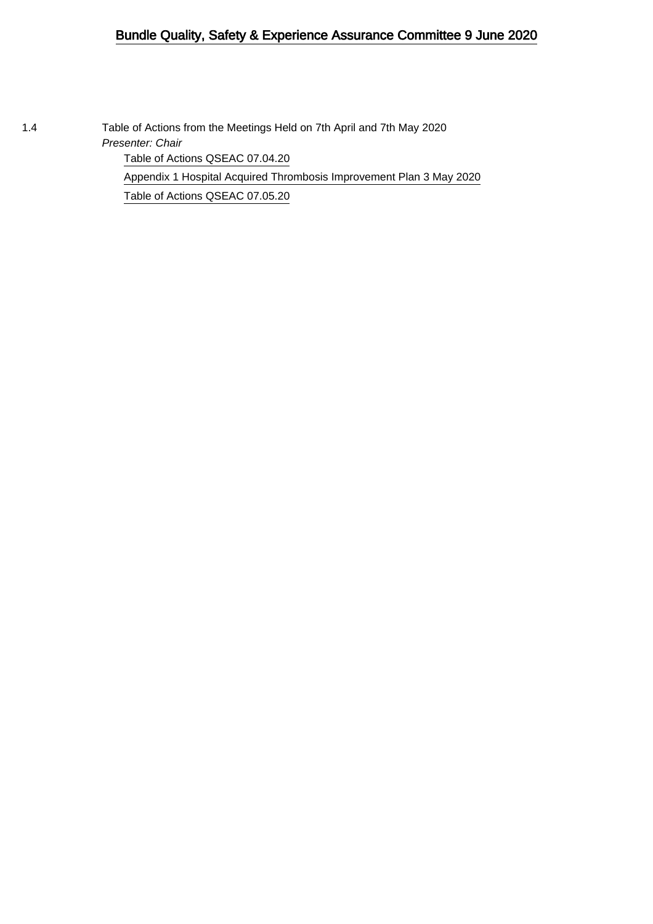### Bundle Quality, Safety & Experience Assurance Committee 9 June 2020

1.4 Table of Actions from the Meetings Held on 7th April and 7th May 2020 Presenter: Chair

[Table of Actions QSEAC 07.04.20](#page-1-0)

[Appendix 1 Hospital Acquired Thrombosis Improvement Plan 3 May 2020](#page-4-0) [Table of Actions QSEAC 07.05.20](#page-9-0)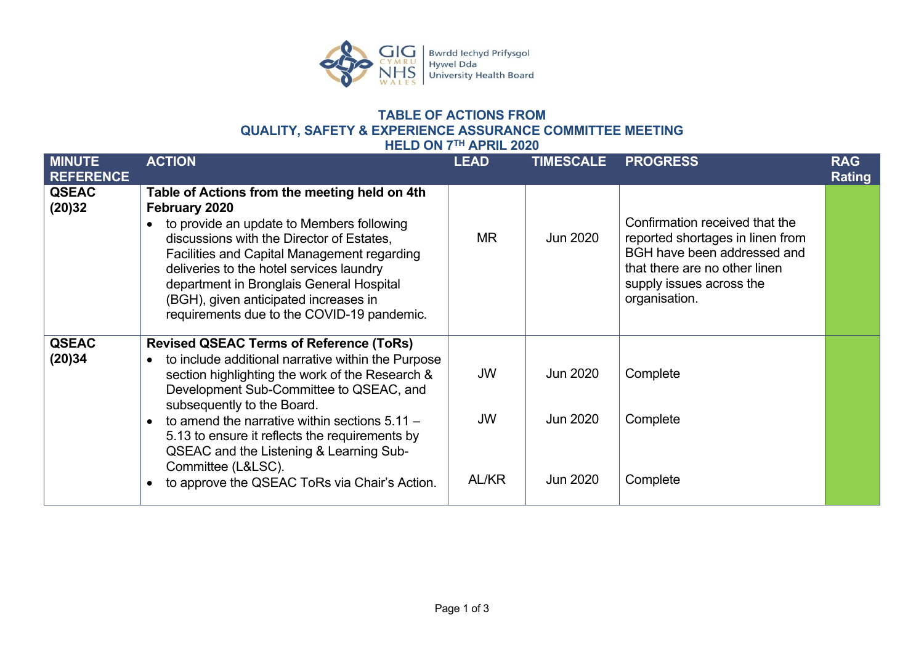

#### **TABLE OF ACTIONS FROM QUALITY, SAFETY & EXPERIENCE ASSURANCE COMMITTEE MEETING HELD ON 7TH APRIL 2020**

<span id="page-1-0"></span>

|                                   |                                                                                                                                                                                                                                                                                                                                                                                                                                                                                                | ALINE AVAV                      |                                  |                                                                                                                                                                                 |                             |
|-----------------------------------|------------------------------------------------------------------------------------------------------------------------------------------------------------------------------------------------------------------------------------------------------------------------------------------------------------------------------------------------------------------------------------------------------------------------------------------------------------------------------------------------|---------------------------------|----------------------------------|---------------------------------------------------------------------------------------------------------------------------------------------------------------------------------|-----------------------------|
| <b>MINUTE</b><br><b>REFERENCE</b> | <b>ACTION</b>                                                                                                                                                                                                                                                                                                                                                                                                                                                                                  | <b>LEAD</b>                     | <b>TIMESCALE</b>                 | <b>PROGRESS</b>                                                                                                                                                                 | <b>RAG</b><br><b>Rating</b> |
| <b>QSEAC</b><br>(20)32            | Table of Actions from the meeting held on 4th<br>February 2020<br>to provide an update to Members following<br>discussions with the Director of Estates,<br><b>Facilities and Capital Management regarding</b><br>deliveries to the hotel services laundry<br>department in Bronglais General Hospital<br>(BGH), given anticipated increases in<br>requirements due to the COVID-19 pandemic.                                                                                                  | <b>MR</b>                       | Jun 2020                         | Confirmation received that the<br>reported shortages in linen from<br>BGH have been addressed and<br>that there are no other linen<br>supply issues across the<br>organisation. |                             |
| <b>QSEAC</b><br>(20)34            | <b>Revised QSEAC Terms of Reference (ToRs)</b><br>to include additional narrative within the Purpose<br>$\bullet$<br>section highlighting the work of the Research &<br>Development Sub-Committee to QSEAC, and<br>subsequently to the Board.<br>to amend the narrative within sections $5.11 -$<br>$\bullet$<br>5.13 to ensure it reflects the requirements by<br>QSEAC and the Listening & Learning Sub-<br>Committee (L&LSC).<br>to approve the QSEAC ToRs via Chair's Action.<br>$\bullet$ | <b>JW</b><br><b>JW</b><br>AL/KR | Jun 2020<br>Jun 2020<br>Jun 2020 | Complete<br>Complete<br>Complete                                                                                                                                                |                             |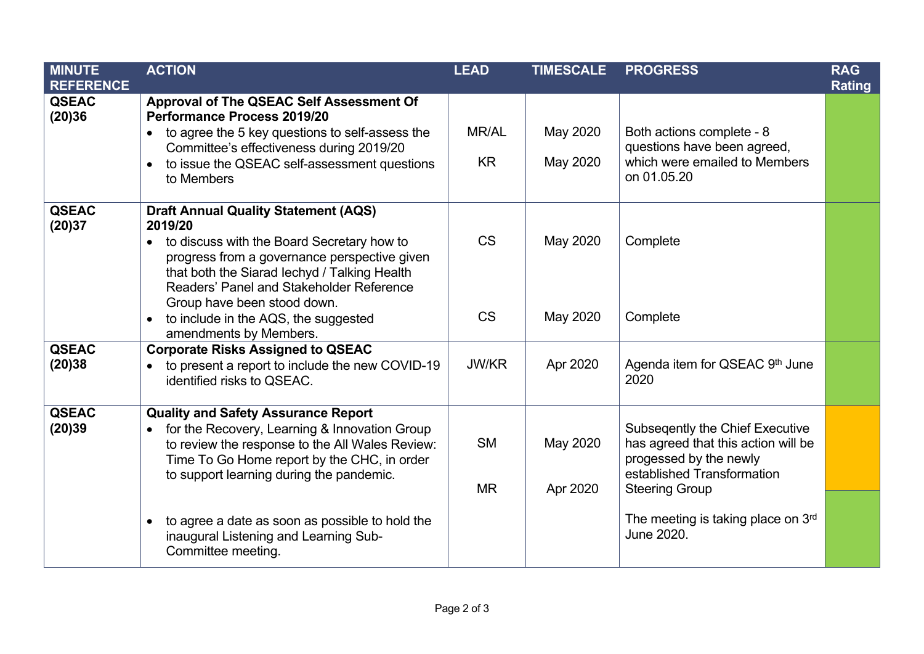| <b>MINUTE</b><br><b>REFERENCE</b> | <b>ACTION</b>                                                                                                                                                                                                                                          | <b>LEAD</b>            | <b>TIMESCALE</b>     | <b>PROGRESS</b>                                                                                                                                                | <b>RAG</b><br><b>Rating</b> |
|-----------------------------------|--------------------------------------------------------------------------------------------------------------------------------------------------------------------------------------------------------------------------------------------------------|------------------------|----------------------|----------------------------------------------------------------------------------------------------------------------------------------------------------------|-----------------------------|
| <b>QSEAC</b><br>(20)36            | Approval of The QSEAC Self Assessment Of<br>Performance Process 2019/20<br>to agree the 5 key questions to self-assess the<br>$\bullet$                                                                                                                | <b>MR/AL</b>           | May 2020             | Both actions complete - 8                                                                                                                                      |                             |
|                                   | Committee's effectiveness during 2019/20<br>to issue the QSEAC self-assessment questions<br>$\bullet$<br>to Members                                                                                                                                    | <b>KR</b>              | May 2020             | questions have been agreed,<br>which were emailed to Members<br>on 01.05.20                                                                                    |                             |
| <b>QSEAC</b><br>(20)37            | <b>Draft Annual Quality Statement (AQS)</b><br>2019/20<br>to discuss with the Board Secretary how to<br>progress from a governance perspective given<br>that both the Siarad lechyd / Talking Health<br>Readers' Panel and Stakeholder Reference       | <b>CS</b>              | May 2020             | Complete                                                                                                                                                       |                             |
|                                   | Group have been stood down.<br>to include in the AQS, the suggested<br>amendments by Members.                                                                                                                                                          | <b>CS</b>              | May 2020             | Complete                                                                                                                                                       |                             |
| <b>QSEAC</b><br>(20)38            | <b>Corporate Risks Assigned to QSEAC</b><br>to present a report to include the new COVID-19<br>identified risks to QSEAC.                                                                                                                              | <b>JW/KR</b>           | Apr 2020             | Agenda item for QSEAC 9th June<br>2020                                                                                                                         |                             |
| <b>QSEAC</b><br>(20)39            | <b>Quality and Safety Assurance Report</b><br>for the Recovery, Learning & Innovation Group<br>$\bullet$<br>to review the response to the All Wales Review:<br>Time To Go Home report by the CHC, in order<br>to support learning during the pandemic. | <b>SM</b><br><b>MR</b> | May 2020<br>Apr 2020 | <b>Subseqently the Chief Executive</b><br>has agreed that this action will be<br>progessed by the newly<br>established Transformation<br><b>Steering Group</b> |                             |
|                                   | to agree a date as soon as possible to hold the<br>$\bullet$<br>inaugural Listening and Learning Sub-<br>Committee meeting.                                                                                                                            |                        |                      | The meeting is taking place on 3rd<br>June 2020.                                                                                                               |                             |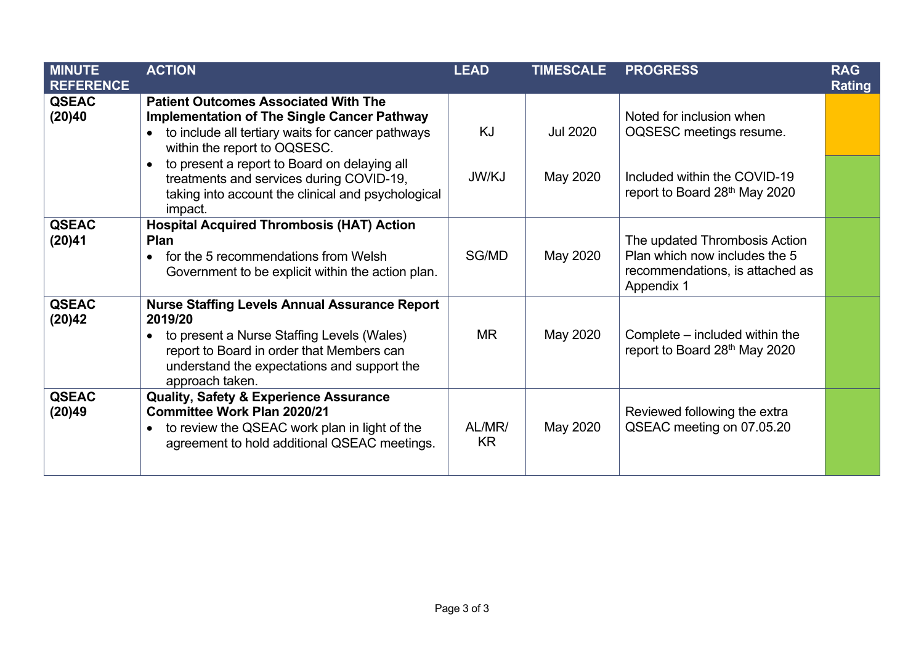| <b>MINUTE</b><br><b>REFERENCE</b> | <b>ACTION</b>                                                                                                                                                                                                                             | <b>LEAD</b>  | <b>TIMESCALE</b> | <b>PROGRESS</b>                                                                                                 | <b>RAG</b><br><b>Rating</b> |
|-----------------------------------|-------------------------------------------------------------------------------------------------------------------------------------------------------------------------------------------------------------------------------------------|--------------|------------------|-----------------------------------------------------------------------------------------------------------------|-----------------------------|
| <b>QSEAC</b><br>(20)40            | <b>Patient Outcomes Associated With The</b><br><b>Implementation of The Single Cancer Pathway</b><br>to include all tertiary waits for cancer pathways<br>within the report to OQSESC.                                                    | <b>KJ</b>    | <b>Jul 2020</b>  | Noted for inclusion when<br>OQSESC meetings resume.                                                             |                             |
|                                   | to present a report to Board on delaying all<br>$\bullet$<br>treatments and services during COVID-19,<br>taking into account the clinical and psychological<br>impact.                                                                    | JW/KJ        | May 2020         | Included within the COVID-19<br>report to Board 28th May 2020                                                   |                             |
| <b>QSEAC</b><br>(20)41            | <b>Hospital Acquired Thrombosis (HAT) Action</b><br><b>Plan</b><br>for the 5 recommendations from Welsh<br>$\bullet$<br>Government to be explicit within the action plan.                                                                 | SG/MD        | May 2020         | The updated Thrombosis Action<br>Plan which now includes the 5<br>recommendations, is attached as<br>Appendix 1 |                             |
| <b>QSEAC</b><br>(20)42            | <b>Nurse Staffing Levels Annual Assurance Report</b><br>2019/20<br>to present a Nurse Staffing Levels (Wales)<br>$\bullet$<br>report to Board in order that Members can<br>understand the expectations and support the<br>approach taken. | MR.          | May 2020         | Complete – included within the<br>report to Board 28th May 2020                                                 |                             |
| <b>QSEAC</b><br>(20)49            | <b>Quality, Safety &amp; Experience Assurance</b><br><b>Committee Work Plan 2020/21</b><br>to review the QSEAC work plan in light of the<br>$\bullet$<br>agreement to hold additional QSEAC meetings.                                     | AL/MR/<br>KR | May 2020         | Reviewed following the extra<br>QSEAC meeting on 07.05.20                                                       |                             |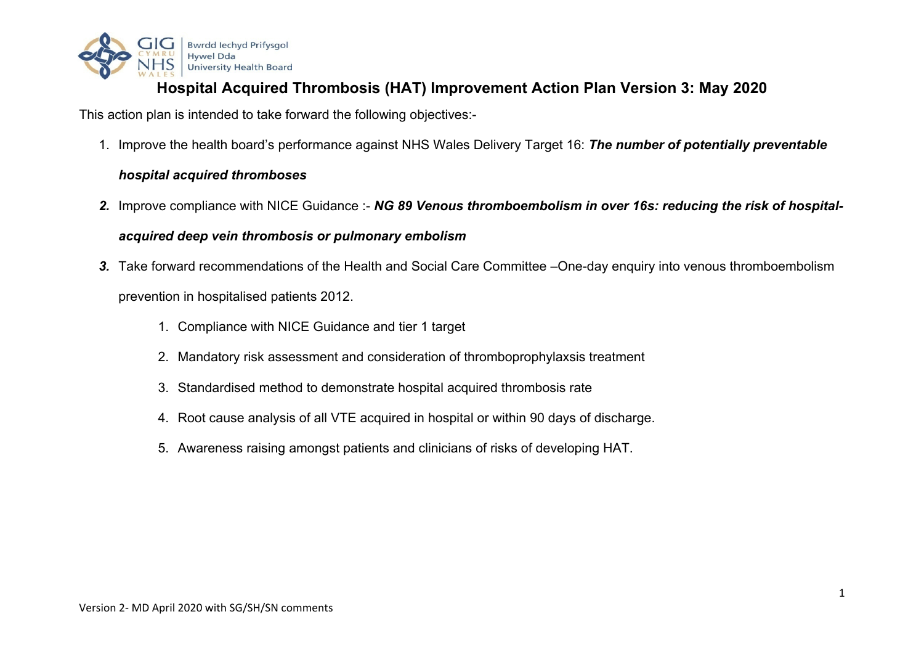

# **Hospital Acquired Thrombosis (HAT) Improvement Action Plan Version 3: May 2020**

This action plan is intended to take forward the following objectives:-

1. Improve the health board's performance against NHS Wales Delivery Target 16: *The number of potentially preventable* 

### *hospital acquired thromboses*

*2.* Improve compliance with NICE Guidance :- *NG 89 Venous thromboembolism in over 16s: reducing the risk of hospital-*

### *acquired deep vein thrombosis or pulmonary embolism*

- <span id="page-4-0"></span>*3.* Take forward recommendations of the Health and Social Care Committee –One-day enquiry into venous thromboembolism prevention in hospitalised patients 2012.
	- 1. Compliance with NICE Guidance and tier 1 target
	- 2. Mandatory risk assessment and consideration of thromboprophylaxsis treatment
	- 3. Standardised method to demonstrate hospital acquired thrombosis rate
	- 4. Root cause analysis of all VTE acquired in hospital or within 90 days of discharge.
	- 5. Awareness raising amongst patients and clinicians of risks of developing HAT.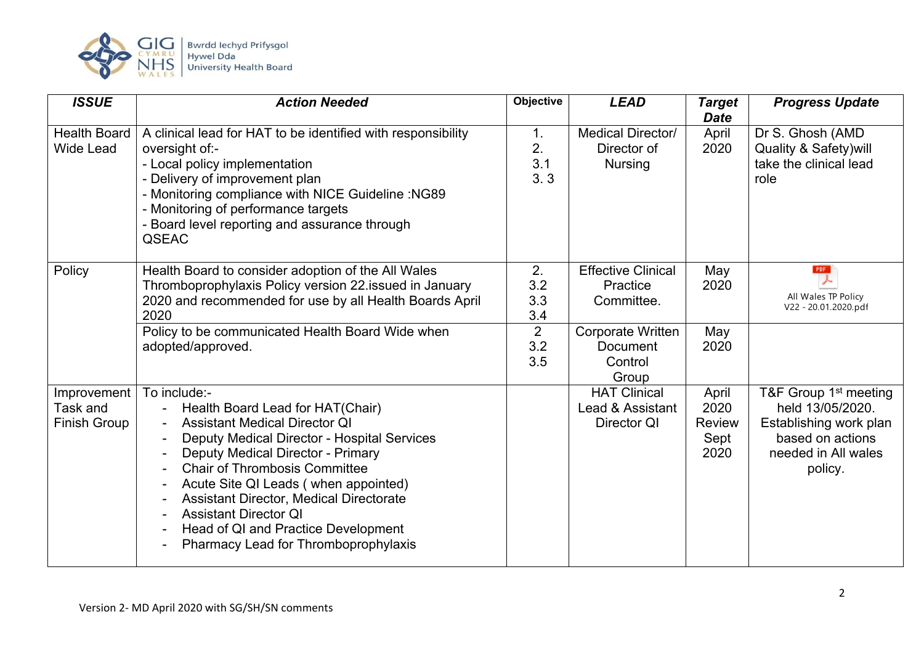

| <b>ISSUE</b>                                   | <b>Action Needed</b>                                                                                                                                                                                                                                                                                                                                                                                                          | <b>Objective</b>        | <b>LEAD</b>                                                     | <b>Target</b><br><b>Date</b>                   | <b>Progress Update</b>                                                                                                                |
|------------------------------------------------|-------------------------------------------------------------------------------------------------------------------------------------------------------------------------------------------------------------------------------------------------------------------------------------------------------------------------------------------------------------------------------------------------------------------------------|-------------------------|-----------------------------------------------------------------|------------------------------------------------|---------------------------------------------------------------------------------------------------------------------------------------|
| <b>Health Board</b><br><b>Wide Lead</b>        | A clinical lead for HAT to be identified with responsibility<br>oversight of:-<br>- Local policy implementation<br>- Delivery of improvement plan<br>- Monitoring compliance with NICE Guideline : NG89<br>- Monitoring of performance targets<br>- Board level reporting and assurance through<br><b>QSEAC</b>                                                                                                               | 1.<br>2.<br>3.1<br>3.3  | <b>Medical Director/</b><br>Director of<br><b>Nursing</b>       | April<br>2020                                  | Dr S. Ghosh (AMD)<br><b>Quality &amp; Safety) will</b><br>take the clinical lead<br>role                                              |
| Policy                                         | Health Board to consider adoption of the All Wales<br>Thromboprophylaxis Policy version 22.issued in January<br>2020 and recommended for use by all Health Boards April<br>2020                                                                                                                                                                                                                                               | 2.<br>3.2<br>3.3<br>3.4 | <b>Effective Clinical</b><br>Practice<br>Committee.             | May<br>2020                                    | PDF<br>All Wales TP Policy<br>V22 - 20.01.2020.pdf                                                                                    |
|                                                | Policy to be communicated Health Board Wide when<br>adopted/approved.                                                                                                                                                                                                                                                                                                                                                         | 2<br>3.2<br>3.5         | <b>Corporate Written</b><br><b>Document</b><br>Control<br>Group | May<br>2020                                    |                                                                                                                                       |
| Improvement<br>Task and<br><b>Finish Group</b> | To include:-<br>Health Board Lead for HAT(Chair)<br><b>Assistant Medical Director QI</b><br>Deputy Medical Director - Hospital Services<br><b>Deputy Medical Director - Primary</b><br><b>Chair of Thrombosis Committee</b><br>Acute Site QI Leads (when appointed)<br>Assistant Director, Medical Directorate<br><b>Assistant Director QI</b><br>Head of QI and Practice Development<br>Pharmacy Lead for Thromboprophylaxis |                         | <b>HAT Clinical</b><br>Lead & Assistant<br>Director QI          | April<br>2020<br><b>Review</b><br>Sept<br>2020 | T&F Group 1 <sup>st</sup> meeting<br>held 13/05/2020.<br>Establishing work plan<br>based on actions<br>needed in All wales<br>policy. |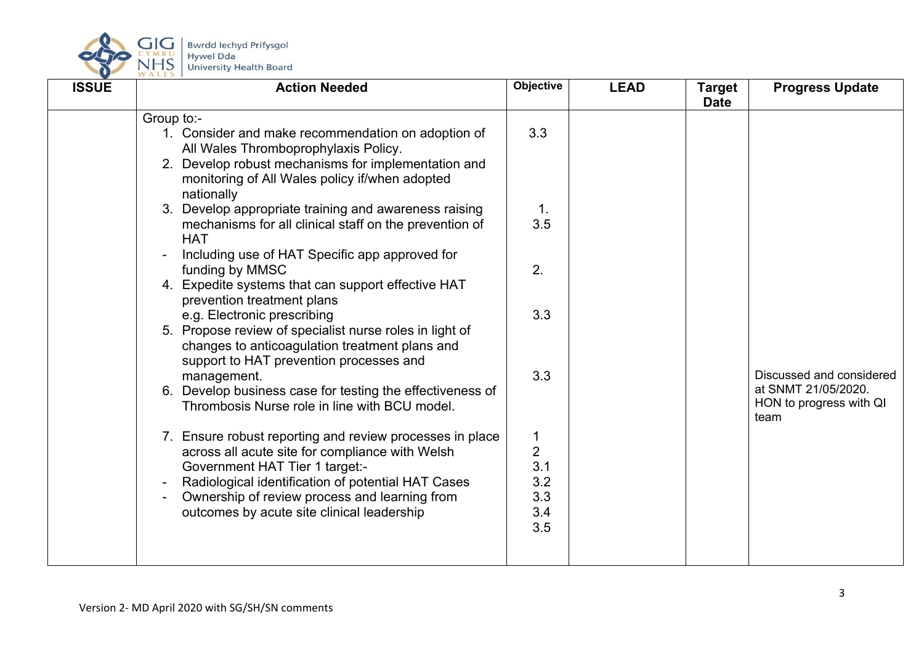

| <b>ISSUE</b> | <b>Action Needed</b>                                                                                                                                                                                                            | <b>Objective</b>                  | <b>LEAD</b> | <b>Target</b><br><b>Date</b> | <b>Progress Update</b>                                                             |
|--------------|---------------------------------------------------------------------------------------------------------------------------------------------------------------------------------------------------------------------------------|-----------------------------------|-------------|------------------------------|------------------------------------------------------------------------------------|
|              | Group to:-<br>1. Consider and make recommendation on adoption of<br>All Wales Thromboprophylaxis Policy.<br>2. Develop robust mechanisms for implementation and<br>monitoring of All Wales policy if/when adopted<br>nationally | 3.3                               |             |                              |                                                                                    |
|              | 3. Develop appropriate training and awareness raising<br>mechanisms for all clinical staff on the prevention of<br><b>HAT</b>                                                                                                   | 1.<br>3.5                         |             |                              |                                                                                    |
|              | Including use of HAT Specific app approved for<br>funding by MMSC<br>4. Expedite systems that can support effective HAT<br>prevention treatment plans                                                                           | 2.                                |             |                              |                                                                                    |
|              | e.g. Electronic prescribing<br>5. Propose review of specialist nurse roles in light of<br>changes to anticoagulation treatment plans and<br>support to HAT prevention processes and                                             | 3.3                               |             |                              |                                                                                    |
|              | management.<br>6. Develop business case for testing the effectiveness of<br>Thrombosis Nurse role in line with BCU model.                                                                                                       | 3.3                               |             |                              | Discussed and considered<br>at SNMT 21/05/2020.<br>HON to progress with QI<br>team |
|              | 7. Ensure robust reporting and review processes in place<br>across all acute site for compliance with Welsh<br><b>Government HAT Tier 1 target:-</b><br>Radiological identification of potential HAT Cases                      | 1<br>$\overline{2}$<br>3.1<br>3.2 |             |                              |                                                                                    |
|              | Ownership of review process and learning from<br>outcomes by acute site clinical leadership                                                                                                                                     | 3.3<br>3.4<br>3.5                 |             |                              |                                                                                    |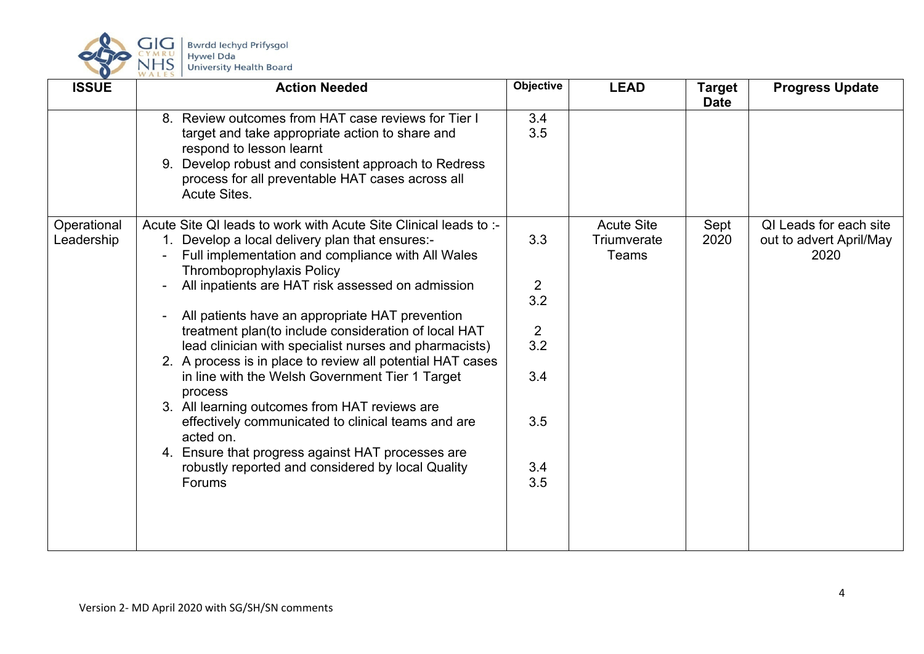

| <b>ISSUE</b>              | <b>Action Needed</b>                                                                                                                                                                                                                                                                                                                                                                                                                                                                                                                                                                                                                                                                                                                                                                                       | Objective                                                                         | <b>LEAD</b>                               | <b>Target</b><br><b>Date</b> | <b>Progress Update</b>                                    |
|---------------------------|------------------------------------------------------------------------------------------------------------------------------------------------------------------------------------------------------------------------------------------------------------------------------------------------------------------------------------------------------------------------------------------------------------------------------------------------------------------------------------------------------------------------------------------------------------------------------------------------------------------------------------------------------------------------------------------------------------------------------------------------------------------------------------------------------------|-----------------------------------------------------------------------------------|-------------------------------------------|------------------------------|-----------------------------------------------------------|
|                           | 8. Review outcomes from HAT case reviews for Tier I<br>target and take appropriate action to share and<br>respond to lesson learnt<br>9. Develop robust and consistent approach to Redress<br>process for all preventable HAT cases across all<br><b>Acute Sites.</b>                                                                                                                                                                                                                                                                                                                                                                                                                                                                                                                                      | 3.4<br>3.5                                                                        |                                           |                              |                                                           |
| Operational<br>Leadership | Acute Site QI leads to work with Acute Site Clinical leads to :-<br>1. Develop a local delivery plan that ensures:-<br>Full implementation and compliance with All Wales<br><b>Thromboprophylaxis Policy</b><br>All inpatients are HAT risk assessed on admission<br>All patients have an appropriate HAT prevention<br>treatment plan(to include consideration of local HAT<br>lead clinician with specialist nurses and pharmacists)<br>2. A process is in place to review all potential HAT cases<br>in line with the Welsh Government Tier 1 Target<br>process<br>3. All learning outcomes from HAT reviews are<br>effectively communicated to clinical teams and are<br>acted on.<br>4. Ensure that progress against HAT processes are<br>robustly reported and considered by local Quality<br>Forums | 3.3<br>$\overline{2}$<br>3.2<br>$\overline{2}$<br>3.2<br>3.4<br>3.5<br>3.4<br>3.5 | <b>Acute Site</b><br>Triumverate<br>Teams | Sept<br>2020                 | QI Leads for each site<br>out to advert April/May<br>2020 |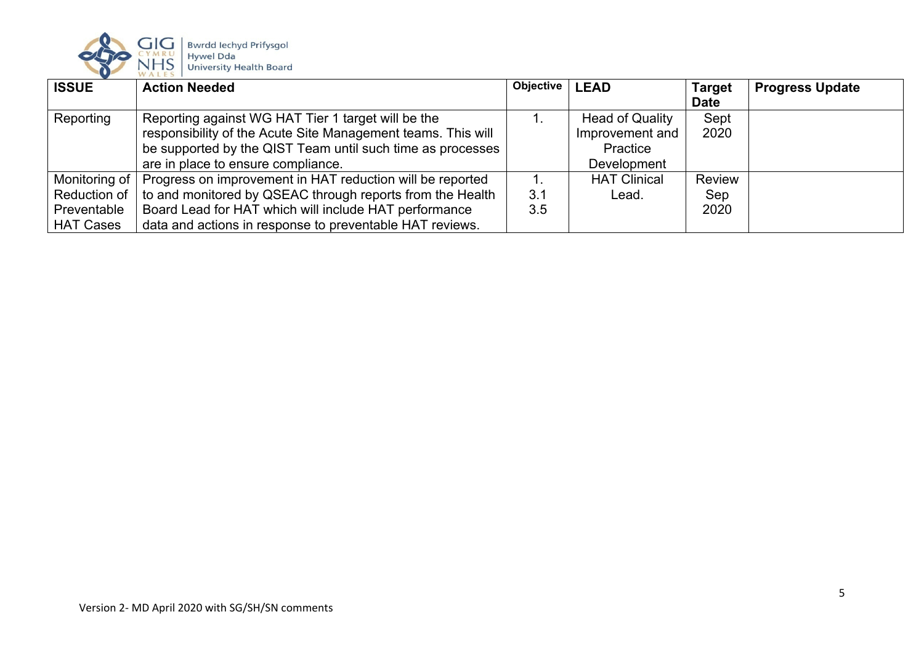

| <b>ISSUE</b>     | <b>Action Needed</b>                                         | <b>Objective</b> | <b>LEAD</b>            | <b>Target</b> | <b>Progress Update</b> |
|------------------|--------------------------------------------------------------|------------------|------------------------|---------------|------------------------|
|                  |                                                              |                  |                        | <b>Date</b>   |                        |
| Reporting        | Reporting against WG HAT Tier 1 target will be the           |                  | <b>Head of Quality</b> | Sept          |                        |
|                  | responsibility of the Acute Site Management teams. This will |                  | Improvement and        | 2020          |                        |
|                  | be supported by the QIST Team until such time as processes   |                  | Practice               |               |                        |
|                  | are in place to ensure compliance.                           |                  | <b>Development</b>     |               |                        |
| Monitoring of    | Progress on improvement in HAT reduction will be reported    |                  | <b>HAT Clinical</b>    | <b>Review</b> |                        |
| Reduction of     | to and monitored by QSEAC through reports from the Health    | 3.1              | Lead.                  | Sep           |                        |
| Preventable      | Board Lead for HAT which will include HAT performance        | 3.5              |                        | 2020          |                        |
| <b>HAT Cases</b> | data and actions in response to preventable HAT reviews.     |                  |                        |               |                        |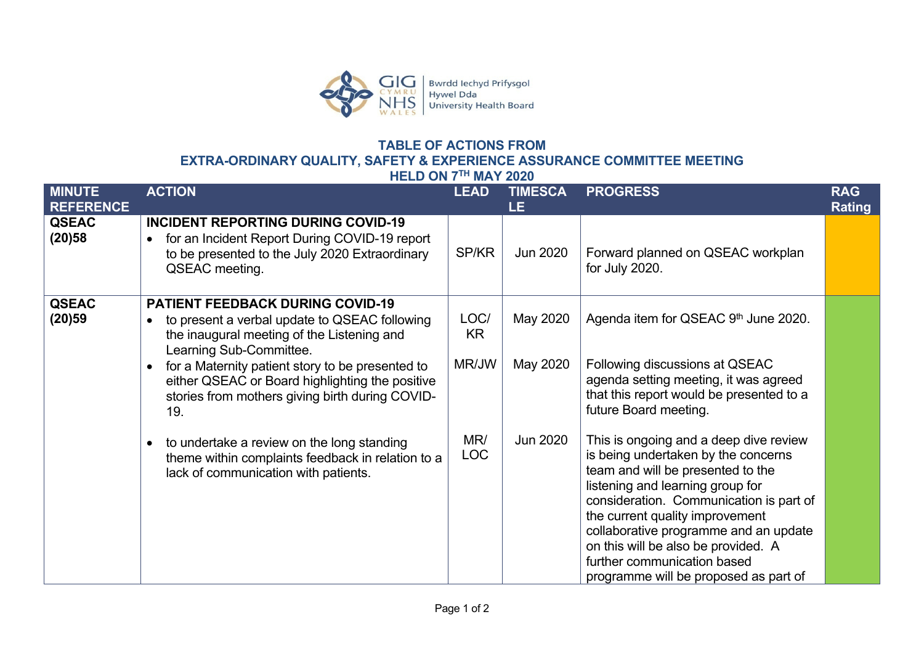

# **TABLE OF ACTIONS FROM EXTRA-ORDINARY QUALITY, SAFETY & EXPERIENCE ASSURANCE COMMITTEE MEETING**

**HELD ON 7TH MAY 2020**

<span id="page-9-0"></span>

| <b>MINUTE</b><br><b>REFERENCE</b> | <b>ACTION</b>                                                                                                                                                                                                                                                                                                                                                                                                                                                                                                        | <b>LEAD</b>                               | <b>TIMESCA</b><br>LE.            | <b>PROGRESS</b>                                                                                                                                                                                                                                                                                                                                                                                                                                                                                              | <b>RAG</b><br><b>Rating</b> |
|-----------------------------------|----------------------------------------------------------------------------------------------------------------------------------------------------------------------------------------------------------------------------------------------------------------------------------------------------------------------------------------------------------------------------------------------------------------------------------------------------------------------------------------------------------------------|-------------------------------------------|----------------------------------|--------------------------------------------------------------------------------------------------------------------------------------------------------------------------------------------------------------------------------------------------------------------------------------------------------------------------------------------------------------------------------------------------------------------------------------------------------------------------------------------------------------|-----------------------------|
| <b>QSEAC</b><br>(20)58            | <b>INCIDENT REPORTING DURING COVID-19</b><br>for an Incident Report During COVID-19 report<br>to be presented to the July 2020 Extraordinary<br>QSEAC meeting.                                                                                                                                                                                                                                                                                                                                                       | SP/KR                                     | Jun 2020                         | Forward planned on QSEAC workplan<br>for July 2020.                                                                                                                                                                                                                                                                                                                                                                                                                                                          |                             |
| <b>QSEAC</b><br>(20)59            | <b>PATIENT FEEDBACK DURING COVID-19</b><br>to present a verbal update to QSEAC following<br>$\bullet$<br>the inaugural meeting of the Listening and<br>Learning Sub-Committee.<br>for a Maternity patient story to be presented to<br>$\bullet$<br>either QSEAC or Board highlighting the positive<br>stories from mothers giving birth during COVID-<br>19.<br>to undertake a review on the long standing<br>$\bullet$<br>theme within complaints feedback in relation to a<br>lack of communication with patients. | LOC/<br>KR.<br>MR/JW<br>MR/<br><b>LOC</b> | May 2020<br>May 2020<br>Jun 2020 | Agenda item for QSEAC 9th June 2020.<br>Following discussions at QSEAC<br>agenda setting meeting, it was agreed<br>that this report would be presented to a<br>future Board meeting.<br>This is ongoing and a deep dive review<br>is being undertaken by the concerns<br>team and will be presented to the<br>listening and learning group for<br>consideration. Communication is part of<br>the current quality improvement<br>collaborative programme and an update<br>on this will be also be provided. A |                             |
|                                   |                                                                                                                                                                                                                                                                                                                                                                                                                                                                                                                      |                                           |                                  | further communication based<br>programme will be proposed as part of                                                                                                                                                                                                                                                                                                                                                                                                                                         |                             |